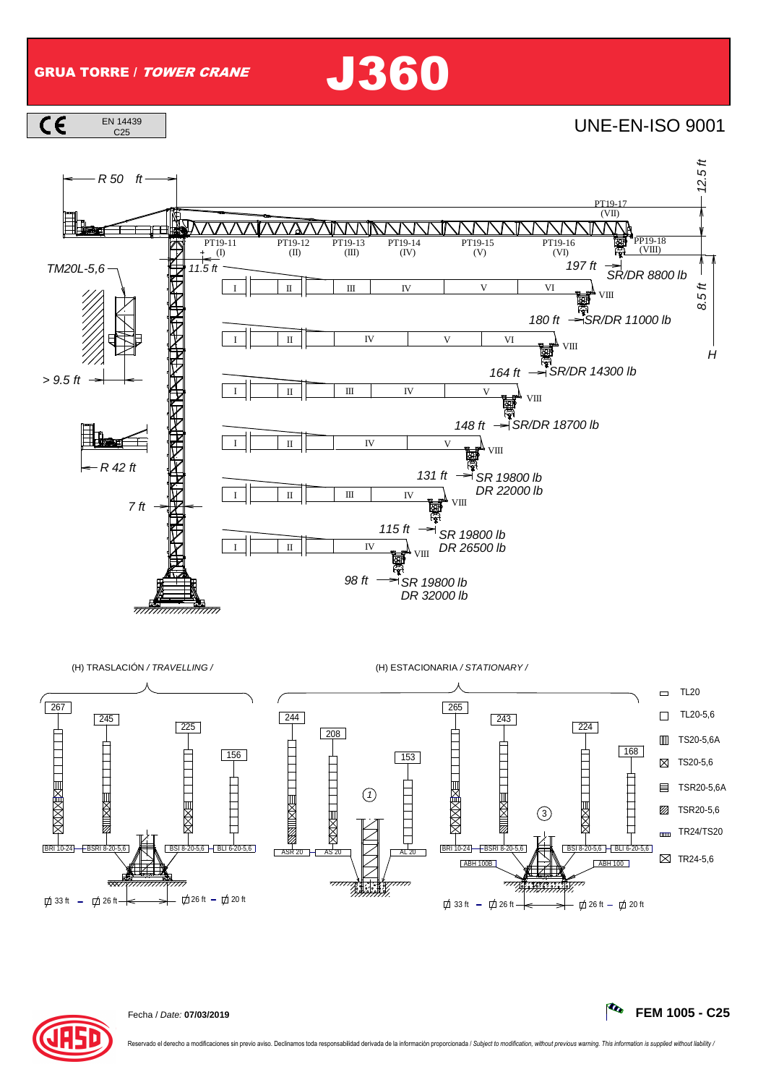GRUA TORRE / TOWER CRANE J360

 $\overline{c}$ EN 14439

**UNE-EN-ISO 9001** 



 $77777$ 

 $\frac{1}{2}$ 



 $\uparrow$  33 ft -  $\uparrow$  26 ft -  $\downarrow$  26 ft -  $\uparrow$  20 ft



33 ft - 立 26 ft — — — — — 一 立 26 ft - 立 20 ft

; Y 1999, 99, 9<br>}}}}}}}}}

7777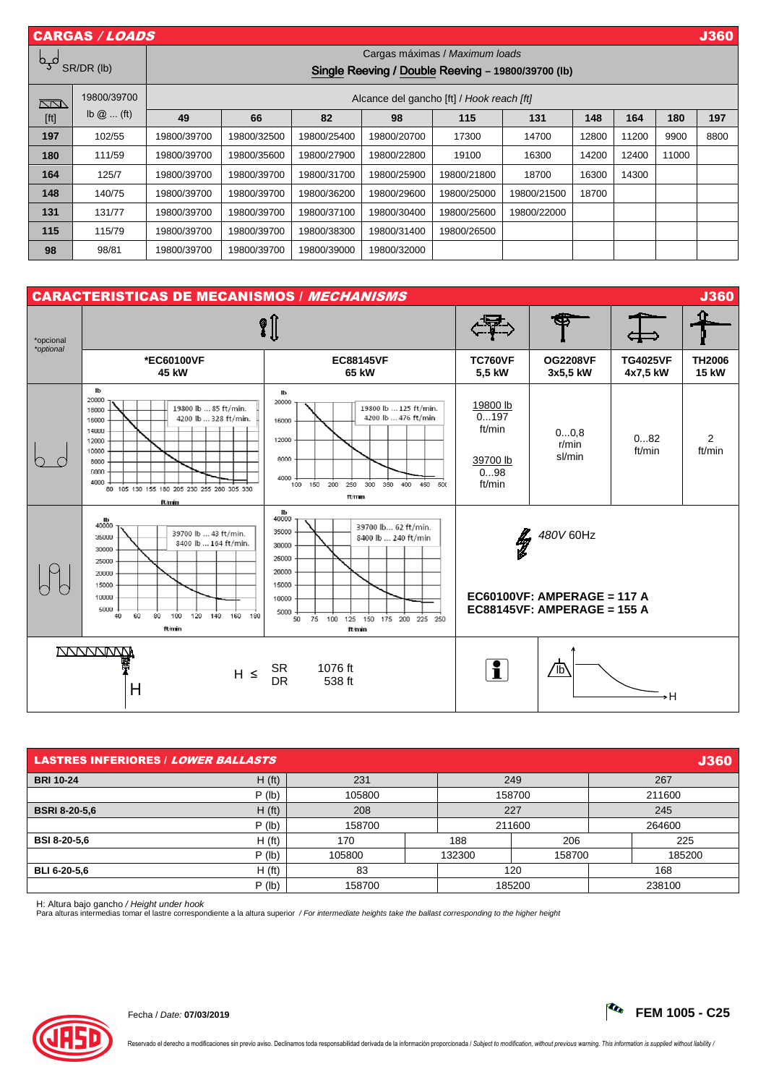| <b>CARGAS / LOADS</b><br><b>J360</b> |                            |                                                    |             |             |             |             |             |       |       |       |      |
|--------------------------------------|----------------------------|----------------------------------------------------|-------------|-------------|-------------|-------------|-------------|-------|-------|-------|------|
| مہم<br>SR/DR (lb)                    |                            | Cargas máximas / Maximum loads                     |             |             |             |             |             |       |       |       |      |
|                                      |                            | Single Reeving / Double Reeving - 19800/39700 (lb) |             |             |             |             |             |       |       |       |      |
| <u>kan</u>                           | 19800/39700                | Alcance del gancho [ft] / Hook reach [ft]          |             |             |             |             |             |       |       |       |      |
| [ft]                                 | $\mathsf{lb}\ \omega$ (ft) | 49                                                 | 66          | 82          | 98          | 115         | 131         | 148   | 164   | 180   | 197  |
| 197                                  | 102/55                     | 19800/39700                                        | 19800/32500 | 19800/25400 | 19800/20700 | 17300       | 14700       | 12800 | 11200 | 9900  | 8800 |
| 180                                  | 111/59                     | 19800/39700                                        | 19800/35600 | 19800/27900 | 19800/22800 | 19100       | 16300       | 14200 | 12400 | 11000 |      |
| 164                                  | 125/7                      | 19800/39700                                        | 19800/39700 | 19800/31700 | 19800/25900 | 19800/21800 | 18700       | 16300 | 14300 | --    |      |
| 148                                  | 140/75                     | 19800/39700                                        | 19800/39700 | 19800/36200 | 19800/29600 | 19800/25000 | 19800/21500 | 18700 |       |       |      |
| 131                                  | 131/77                     | 19800/39700                                        | 19800/39700 | 19800/37100 | 19800/30400 | 19800/25600 | 19800/22000 |       |       |       |      |
| 115                                  | 115/79                     | 19800/39700                                        | 19800/39700 | 19800/38300 | 19800/31400 | 19800/26500 |             |       |       |       |      |
| 98                                   | 98/81                      | 19800/39700                                        | 19800/39700 | 19800/39000 | 19800/32000 |             |             |       |       |       |      |



| <b>LASTRES INFERIORES / LOWER BALLASTS</b><br><b>J360</b> |                    |        |  |        |        |        |        |
|-----------------------------------------------------------|--------------------|--------|--|--------|--------|--------|--------|
| <b>BRI 10-24</b>                                          | H(f <sub>t</sub> ) | 231    |  | 249    |        | 267    |        |
|                                                           | $P$ (lb)           | 105800 |  | 158700 |        | 211600 |        |
| <b>BSRI 8-20-5.6</b>                                      | H(f <sub>t</sub> ) | 208    |  | 227    |        | 245    |        |
|                                                           | $P$ (lb)           | 158700 |  | 211600 |        | 264600 |        |
| <b>BSI 8-20-5,6</b>                                       | H(f <sub>t</sub> ) | 170    |  | 188    | 206    |        | 225    |
|                                                           | $P$ (lb)           | 105800 |  | 132300 | 158700 |        | 185200 |
| BLI 6-20-5.6                                              | H(f <sub>t</sub> ) | 83     |  | 120    |        | 168    |        |
|                                                           | P (Ib)             | 158700 |  | 185200 |        | 238100 |        |

H: Altura bajo gancho / Height under hook<br>Para alturas intermedias tomar el lastre correspondiente a la altura superior */ For intermediate heights take the ballast corresponding to the higher height* 

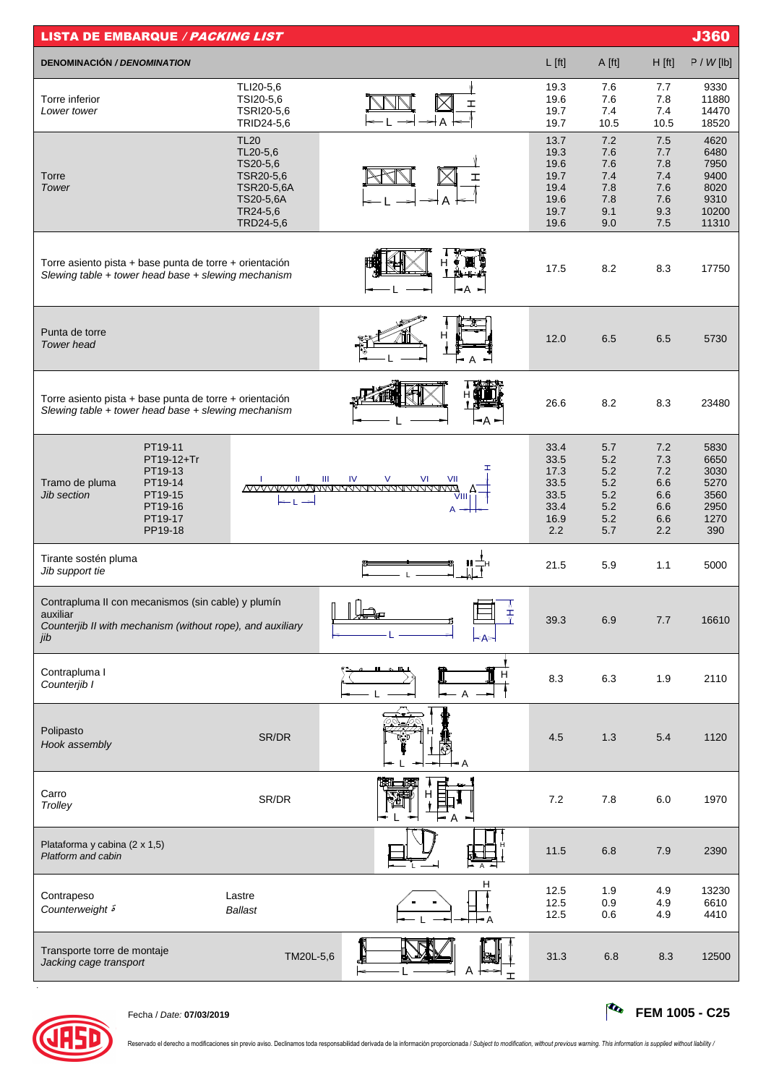| <b>LISTA DE EMBARQUE / PACKING LIST</b>                                                                                             |                                                                                                      |                                                                                    |                                                              |                                                      |                                                      | <b>J360</b>                                                    |
|-------------------------------------------------------------------------------------------------------------------------------------|------------------------------------------------------------------------------------------------------|------------------------------------------------------------------------------------|--------------------------------------------------------------|------------------------------------------------------|------------------------------------------------------|----------------------------------------------------------------|
| <b>DENOMINACIÓN / DENOMINATION</b>                                                                                                  |                                                                                                      |                                                                                    | $L$ [ft]                                                     | A [ft]                                               | $H$ [ft]                                             | P / W[lb]                                                      |
| Torre inferior<br>Lower tower                                                                                                       | TLI20-5,6<br>TSI20-5,6<br>TSRI20-5,6<br>TRID24-5,6                                                   | I<br>$\rightarrow$ A                                                               | 19.3<br>19.6<br>19.7<br>19.7                                 | 7.6<br>7.6<br>7.4<br>10.5                            | 7.7<br>7.8<br>7.4<br>10.5                            | 9330<br>11880<br>14470<br>18520                                |
| Torre<br>Tower                                                                                                                      | <b>TL20</b><br>TL20-5,6<br>TS20-5,6<br>TSR20-5,6<br>TSR20-5,6A<br>TS20-5,6A<br>TR24-5,6<br>TRD24-5,6 |                                                                                    | 13.7<br>19.3<br>19.6<br>19.7<br>19.4<br>19.6<br>19.7<br>19.6 | 7.2<br>7.6<br>7.6<br>7.4<br>7.8<br>7.8<br>9.1<br>9.0 | 7.5<br>7.7<br>7.8<br>7.4<br>7.6<br>7.6<br>9.3<br>7.5 | 4620<br>6480<br>7950<br>9400<br>8020<br>9310<br>10200<br>11310 |
| Torre asiento pista + base punta de torre + orientación<br>Slewing table + tower head base + slewing mechanism                      |                                                                                                      | ⊢A<br>∽                                                                            | 17.5                                                         | 8.2                                                  | 8.3                                                  | 17750                                                          |
| Punta de torre<br><b>Tower</b> head                                                                                                 |                                                                                                      |                                                                                    | 12.0                                                         | 6.5                                                  | 6.5                                                  | 5730                                                           |
| Torre asiento pista + base punta de torre + orientación<br>Slewing table + tower head base + slewing mechanism                      |                                                                                                      | -A -                                                                               | 26.6                                                         | 8.2                                                  | 8.3                                                  | 23480                                                          |
| PT19-11<br>PT19-12+Tr<br>PT19-13<br>PT19-14<br>Tramo de pluma<br>PT19-15<br><b>Jib section</b><br>PT19-16<br>PT19-17<br>PP19-18     | Ш                                                                                                    | IV<br>$\vee$<br>VI<br>Ш<br>VII<br><u>AVVVVVVVVVVVVVVVVVVVVVVVVVVVVVVV</u><br>VIIII | 33.4<br>33.5<br>17.3<br>33.5<br>33.5<br>33.4<br>16.9<br>2.2  | 5.7<br>5.2<br>5.2<br>5.2<br>5.2<br>5.2<br>5.2<br>5.7 | 7.2<br>7.3<br>7.2<br>6.6<br>6.6<br>6.6<br>6.6<br>2.2 | 5830<br>6650<br>3030<br>5270<br>3560<br>2950<br>1270<br>390    |
| Tirante sostén pluma<br>Jib support tie                                                                                             |                                                                                                      |                                                                                    | 21.5                                                         | 5.9                                                  | 1.1                                                  | 5000                                                           |
| Contrapluma II con mecanismos (sin cable) y plumín<br>auxiliar<br>Counterjib II with mechanism (without rope), and auxiliary<br>jib |                                                                                                      | пĤ<br>Ŧ                                                                            | 39.3                                                         | 6.9                                                  | 7.7                                                  | 16610                                                          |
| Contrapluma I<br>Counterjib I                                                                                                       |                                                                                                      |                                                                                    | 8.3                                                          | 6.3                                                  | 1.9                                                  | 2110                                                           |
| Polipasto<br>Hook assembly                                                                                                          | SR/DR                                                                                                | ۰A                                                                                 | 4.5                                                          | 1.3                                                  | 5.4                                                  | 1120                                                           |
| Carro<br>Trolley                                                                                                                    | SR/DR                                                                                                |                                                                                    | $7.2\,$                                                      | 7.8                                                  | $6.0\,$                                              | 1970                                                           |
| Plataforma y cabina (2 x 1,5)<br>Platform and cabin                                                                                 |                                                                                                      |                                                                                    | 11.5                                                         | 6.8                                                  | 7.9                                                  | 2390                                                           |
| Contrapeso<br>Counterweight <sup>5</sup>                                                                                            | Lastre<br><b>Ballast</b>                                                                             | н                                                                                  | 12.5<br>12.5<br>12.5                                         | 1.9<br>0.9<br>0.6                                    | 4.9<br>4.9<br>4.9                                    | 13230<br>6610<br>4410                                          |
| Transporte torre de montaje<br>Jacking cage transport                                                                               | TM20L-5,6                                                                                            |                                                                                    | 31.3                                                         | 6.8                                                  | 8.3                                                  | 12500                                                          |



.

Fecha / Date: **07/03/2019 FEM 1005 - C25**

Reservado el derecho a modificaciones sin previo aviso. Declinamos toda responsabilidad derivada de la información proporcionada / Subject to modification, without previous warning. This information is supplied without lia